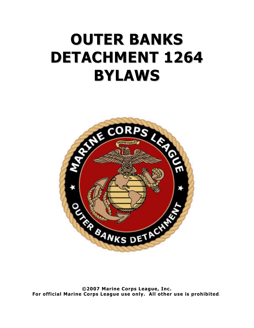# OUTER BANKS DETACHMENT 1264 BYLAWS



©2007 Marine Corps League, Inc. For official Marine Corps League use only. All other use is prohibited.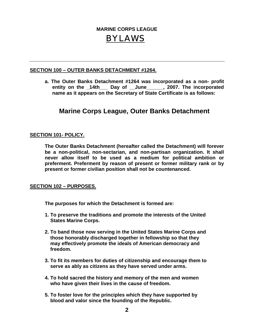# **MARINE CORPS LEAGUE** BYLAWS

# **SECTION 100 – OUTER BANKS DETACHMENT #1264.**

**a. The Outer Banks Detachment #1264 was incorporated as a non- profit entity on the \_14th\_\_\_ Day of \_\_June\_\_\_\_\_\_, 2007. The incorporated name as it appears on the Secretary of State Certificate is as follows:** 

# **Marine Corps League, Outer Banks Detachment**

# **SECTION 101- POLICY.**

 **The Outer Banks Detachment (hereafter called the Detachment) will forever be a non-political, non-sectarian, and non-partisan organization. It shall never allow itself to be used as a medium for political ambition or preferment. Preferment by reason of present or former military rank or by present or former civilian position shall not be countenanced.** 

## **SECTION 102 – PURPOSES.**

**The purposes for which the Detachment is formed are:** 

- **1. To preserve the traditions and promote the interests of the United States Marine Corps.**
- **2. To band those now serving in the United States Marine Corps and those honorably discharged together in fellowship so that they may effectively promote the ideals of American democracy and freedom.**
- **3. To fit its members for duties of citizenship and encourage them to serve as ably as citizens as they have served under arms.**
- **4. To hold sacred the history and memory of the men and women who have given their lives in the cause of freedom.**
- **5. To foster love for the principles which they have supported by blood and valor since the founding of the Republic.**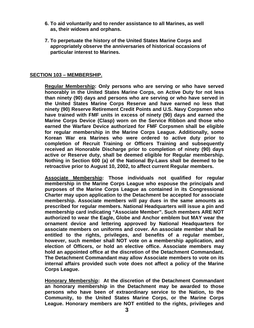- **6. To aid voluntarily and to render assistance to all Marines, as well as, their widows and orphans.**
- **7. To perpetuate the history of the United States Marine Corps and appropriately observe the anniversaries of historical occasions of particular interest to Marines.**

#### **SECTION 103 – MEMBERSHIP.**

**Regular Membership: Only persons who are serving or who have served honorably in the United States Marine Corps, on Active Duty for not less than ninety (90) days and persons who are serving or who have served in the United States Marine Corps Reserve and have earned no less that ninety (90) Reserve Retirement Credit Points and U.S. Navy Corpsmen who have trained with FMF units in excess of ninety (90) days and earned the Marine Corps Device (Clasp) worn on the Service Ribbon and those who earned the Warfare Device authorized for FMF Corpsmen shall be eligible for regular membership in the Marine Corps League. Additionally, some Korean War era Marines who were ordered to active duty prior to completion of Recruit Training or Officers Training and subsequently received an Honorable Discharge prior to completion of ninety (90) days active or Reserve duty, shall be deemed eligible for Regular membership. Nothing in Section 600 (a) of the National By-Laws shall be deemed to be retroactive prior to August 10, 2002, to affect current Regular members.** 

**Associate Membership: Those individuals not qualified for regular membership in the Marine Corps League who espouse the principals and purposes of the Marine Corps League as contained in its Congressional Charter may upon application to the Detachment be accepted for associate membership. Associate members will pay dues in the same amounts as prescribed for regular members. National Headquarters will issue a pin and membership card indicating "Associate Member". Such members ARE NOT authorized to wear the Eagle, Globe and Anchor emblem but MAY wear the ornament device and lettering approved by National Headquarters for associate members on uniforms and cover. An associate member shall be entitled to the rights, privileges, and benefits of a regular member, however, such member shall NOT vote on a membership application, and election of Officers, or hold an elective office. Associate members may hold an appointed office at the discretion of the Detachment Commandant. The Detachment Commandant may allow Associate members to vote on its internal affairs provided such vote does not affect a policy of the Marine Corps League.** 

**Honorary Membership: At the discretion of the Detachment Commandant an honorary membership in the Detachment may be awarded to those persons who have been of extraordinary service to the Nation, to the Community, to the United States Marine Corps, or the Marine Corps League. Honorary members are NOT entitled to the rights, privileges and**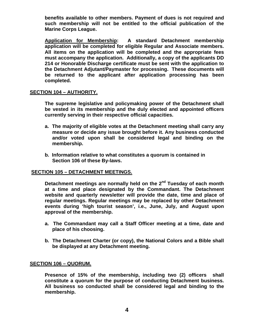**benefits available to other members. Payment of dues is not required and such membership will not be entitled to the official publication of the Marine Corps League.** 

**Application for Membership: A standard Detachment membership application will be completed for eligible Regular and Associate members. All items on the application will be completed and the appropriate fees must accompany the application. Additionally, a copy of the applicants DD 214 or Honorable Discharge certificate must be sent with the application to the Detachment Adjutant/Paymaster for processing. These documents will be returned to the applicant after application processing has been completed.** 

## **SECTION 104 – AUTHORITY.**

**The supreme legislative and policymaking power of the Detachment shall be vested in its membership and the duly elected and appointed officers currently serving in their respective official capacities.** 

- **a. The majority of eligible votes at the Detachment meeting shall carry any measure or decide any issue brought before it. Any business conducted and/or voted upon shall be considered legal and binding on the membership.**
- **b. Information relative to what constitutes a quorum is contained in Section 106 of these By-laws.**

#### **SECTION 105 – DETACHMENT MEETINGS.**

 **Detachment meetings are normally held on the 2nd Tuesday of each month at a time and place designated by the Commandant. The Detachment website and quarterly newsletter will provide the date, time and place of regular meetings. Regular meetings may be replaced by other Detachment events during 'high tourist season', i.e., June, July, and August upon approval of the membership.** 

- **a. The Commandant may call a Staff Officer meeting at a time, date and place of his choosing.**
- **b. The Detachment Charter (or copy), the National Colors and a Bible shall be displayed at any Detachment meeting.**

#### **SECTION 106 – QUORUM.**

**Presence of 15% of the membership, including two (2) officers shall constitute a quorum for the purpose of conducting Detachment business. All business so conducted shall be considered legal and binding to the membership.**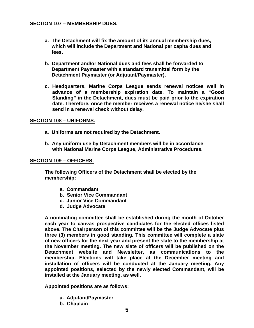# **SECTION 107 – MEMBERSHIP DUES.**

- **a. The Detachment will fix the amount of its annual membership dues, which will include the Department and National per capita dues and fees.**
- **b. Department and/or National dues and fees shall be forwarded to Department Paymaster with a standard transmittal form by the Detachment Paymaster (or Adjutant/Paymaster).**
- **c. Headquarters, Marine Corps League sends renewal notices well in advance of a membership expiration date. To maintain a "Good Standing" in the Detachment, dues must be paid prior to the expiration date. Therefore, once the member receives a renewal notice he/she shall send in a renewal check without delay.**

#### **SECTION 108 – UNIFORMS.**

- **a. Uniforms are not required by the Detachment.**
- **b. Any uniform use by Detachment members will be in accordance with National Marine Corps League, Administrative Procedures.**

#### **SECTION 109 – OFFICERS.**

**The following Officers of the Detachment shall be elected by the membership:** 

- **a. Commandant**
- **b. Senior Vice Commandant**
- **c. Junior Vice Commandant**
- **d. Judge Advocate**

**A nominating committee shall be established during the month of October each year to canvas prospective candidates for the elected offices listed above. The Chairperson of this committee will be the Judge Advocate plus three (3) members in good standing. This committee will complete a slate of new officers for the next year and present the slate to the membership at the November meeting. The new slate of officers will be published on the Detachment website and Newsletter, as communications to the membership. Elections will take place at the December meeting and installation of officers will be conducted at the January meeting. Any appointed positions, selected by the newly elected Commandant, will be installed at the January meeting, as well.** 

**Appointed positions are as follows:** 

- **a. Adjutant/Paymaster**
- **b. Chaplain**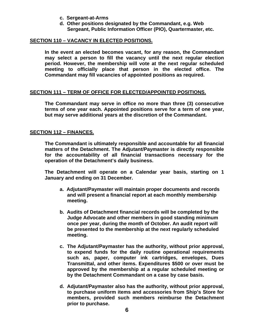- **c. Sergeant-at-Arms**
- **d. Other positions designated by the Commandant, e.g. Web Sergeant, Public Information Officer (PIO), Quartermaster, etc.**

#### **SECTION 110 – VACANCY IN ELECTED POSITIONS.**

**In the event an elected becomes vacant, for any reason, the Commandant may select a person to fill the vacancy until the next regular election period. However, the membership will vote at the next regular scheduled meeting to officially place that person in the elected office. The Commandant may fill vacancies of appointed positions as required.** 

## **SECTION 111 – TERM OF OFFICE FOR ELECTED/APPOINTED POSITIONS.**

**The Commandant may serve in office no more than three (3) consecutive terms of one year each. Appointed positions serve for a term of one year, but may serve additional years at the discretion of the Commandant.** 

#### **SECTION 112 – FINANCES.**

**The Commandant is ultimately responsible and accountable for all financial matters of the Detachment. The Adjutant/Paymaster is directly responsible for the accountability of all financial transactions necessary for the operation of the Detachment's daily business.** 

**The Detachment will operate on a Calendar year basis, starting on 1 January and ending on 31 December.** 

- **a. Adjutant/Paymaster will maintain proper documents and records and will present a financial report at each monthly membership meeting.**
- **b. Audits of Detachment financial records will be completed by the Judge Advocate and other members in good standing minimum once per year, during the month of October. An audit report will be presented to the membership at the next regularly scheduled meeting.**
- **c. The Adjutant/Paymaster has the authority, without prior approval, to expend funds for the daily routine operational requirements such as, paper, computer ink cartridges, envelopes, Dues Transmittal, and other items. Expenditures \$500 or over must be approved by the membership at a regular scheduled meeting or by the Detachment Commandant on a case by case basis.**
- **d. Adjutant/Paymaster also has the authority, without prior approval, to purchase uniform items and accessories from Ship's Store for members, provided such members reimburse the Detachment prior to purchase.**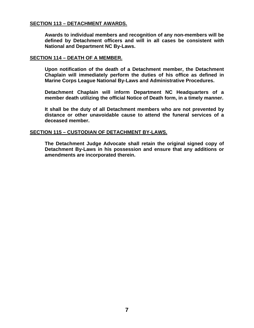# **SECTION 113 – DETACHMENT AWARDS.**

 **Awards to individual members and recognition of any non-members will be defined by Detachment officers and will in all cases be consistent with National and Department NC By-Laws.** 

#### **SECTION 114 – DEATH OF A MEMBER.**

 **Upon notification of the death of a Detachment member, the Detachment Chaplain will immediately perform the duties of his office as defined in Marine Corps League National By-Laws and Administrative Procedures.** 

 **Detachment Chaplain will inform Department NC Headquarters of a member death utilizing the official Notice of Death form, in a timely manner.** 

 **It shall be the duty of all Detachment members who are not prevented by distance or other unavoidable cause to attend the funeral services of a deceased member.** 

#### **SECTION 115 – CUSTODIAN OF DETACHMENT BY-LAWS.**

 **The Detachment Judge Advocate shall retain the original signed copy of Detachment By-Laws in his possession and ensure that any additions or amendments are incorporated therein.**